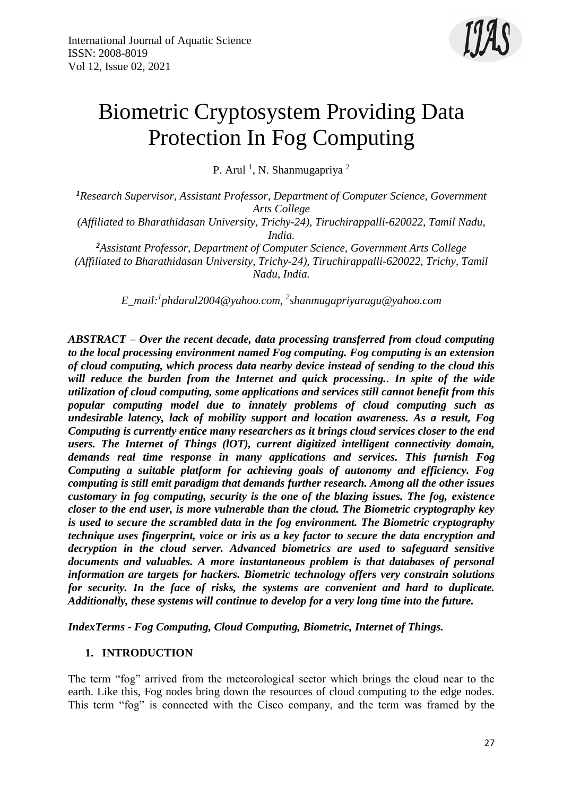

# Biometric Cryptosystem Providing Data Protection In Fog Computing

P. Arul<sup>1</sup>, N. Shanmugapriya<sup>2</sup>

*<sup>1</sup>Research Supervisor, Assistant Professor, Department of Computer Science, Government Arts College*

*(Affiliated to Bharathidasan University, Trichy-24), Tiruchirappalli-620022, Tamil Nadu, India.*

*<sup>2</sup>Assistant Professor, Department of Computer Science, Government Arts College (Affiliated to Bharathidasan University, Trichy-24), Tiruchirappalli-620022, Trichy, Tamil Nadu, India.*

*E\_mail:<sup>1</sup> phdarul2004@yahoo.com, <sup>2</sup> shanmugapriyaragu@yahoo.com*

*ABSTRACT – Over the recent decade, data processing transferred from cloud computing to the local processing environment named Fog computing. Fog computing is an extension of cloud computing, which process data nearby device instead of sending to the cloud this will reduce the burden from the Internet and quick processing.. In spite of the wide utilization of cloud computing, some applications and services still cannot benefit from this popular computing model due to innately problems of cloud computing such as undesirable latency, lack of mobility support and location awareness. As a result, Fog Computing is currently entice many researchers as it brings cloud services closer to the end users. The Internet of Things (lOT), current digitized intelligent connectivity domain, demands real time response in many applications and services. This furnish Fog Computing a suitable platform for achieving goals of autonomy and efficiency. Fog computing is still emit paradigm that demands further research. Among all the other issues customary in fog computing, security is the one of the blazing issues. The fog, existence closer to the end user, is more vulnerable than the cloud. The Biometric cryptography key is used to secure the scrambled data in the fog environment. The Biometric cryptography technique uses fingerprint, voice or iris as a key factor to secure the data encryption and decryption in the cloud server. Advanced biometrics are used to safeguard sensitive documents and valuables. A more instantaneous problem is that databases of personal information are targets for hackers. Biometric technology offers very constrain solutions for security. In the face of risks, the systems are convenient and hard to duplicate. Additionally, these systems will continue to develop for a very long time into the future.*

*IndexTerms - Fog Computing, Cloud Computing, Biometric, Internet of Things.*

#### **1. INTRODUCTION**

The term "fog" arrived from the meteorological sector which brings the cloud near to the earth. Like this, Fog nodes bring down the resources of cloud computing to the edge nodes. This term "fog" is connected with the Cisco company, and the term was framed by the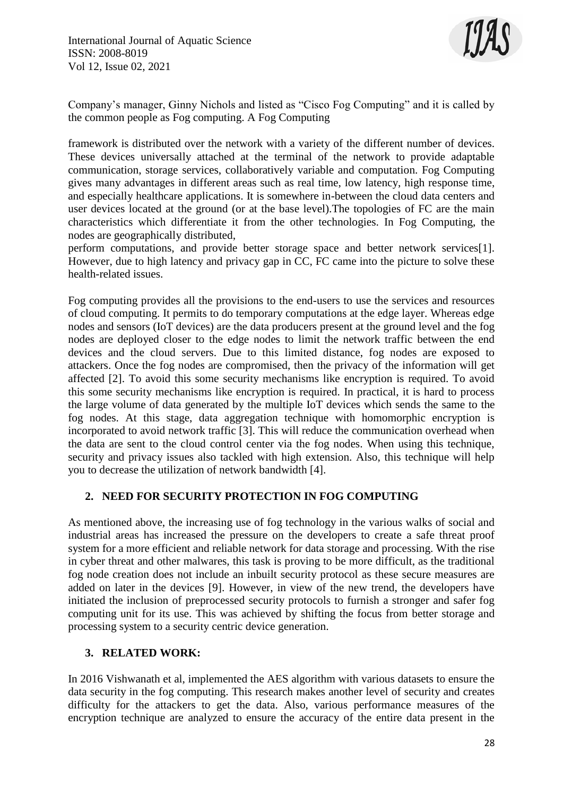

Company's manager, Ginny Nichols and listed as "Cisco Fog Computing" and it is called by the common people as Fog computing. A Fog Computing

framework is distributed over the network with a variety of the different number of devices. These devices universally attached at the terminal of the network to provide adaptable communication, storage services, collaboratively variable and computation. Fog Computing gives many advantages in different areas such as real time, low latency, high response time, and especially healthcare applications. It is somewhere in-between the cloud data centers and user devices located at the ground (or at the base level).The topologies of FC are the main characteristics which differentiate it from the other technologies. In Fog Computing, the nodes are geographically distributed,

perform computations, and provide better storage space and better network services[1]. However, due to high latency and privacy gap in CC, FC came into the picture to solve these health-related issues.

Fog computing provides all the provisions to the end-users to use the services and resources of cloud computing. It permits to do temporary computations at the edge layer. Whereas edge nodes and sensors (IoT devices) are the data producers present at the ground level and the fog nodes are deployed closer to the edge nodes to limit the network traffic between the end devices and the cloud servers. Due to this limited distance, fog nodes are exposed to attackers. Once the fog nodes are compromised, then the privacy of the information will get affected [2]. To avoid this some security mechanisms like encryption is required. To avoid this some security mechanisms like encryption is required. In practical, it is hard to process the large volume of data generated by the multiple IoT devices which sends the same to the fog nodes. At this stage, data aggregation technique with homomorphic encryption is incorporated to avoid network traffic [3]. This will reduce the communication overhead when the data are sent to the cloud control center via the fog nodes. When using this technique, security and privacy issues also tackled with high extension. Also, this technique will help you to decrease the utilization of network bandwidth [4].

# **2. NEED FOR SECURITY PROTECTION IN FOG COMPUTING**

As mentioned above, the increasing use of fog technology in the various walks of social and industrial areas has increased the pressure on the developers to create a safe threat proof system for a more efficient and reliable network for data storage and processing. With the rise in cyber threat and other malwares, this task is proving to be more difficult, as the traditional fog node creation does not include an inbuilt security protocol as these secure measures are added on later in the devices [9]. However, in view of the new trend, the developers have initiated the inclusion of preprocessed security protocols to furnish a stronger and safer fog computing unit for its use. This was achieved by shifting the focus from better storage and processing system to a security centric device generation.

#### **3. RELATED WORK:**

In 2016 Vishwanath et al, implemented the AES algorithm with various datasets to ensure the data security in the fog computing. This research makes another level of security and creates difficulty for the attackers to get the data. Also, various performance measures of the encryption technique are analyzed to ensure the accuracy of the entire data present in the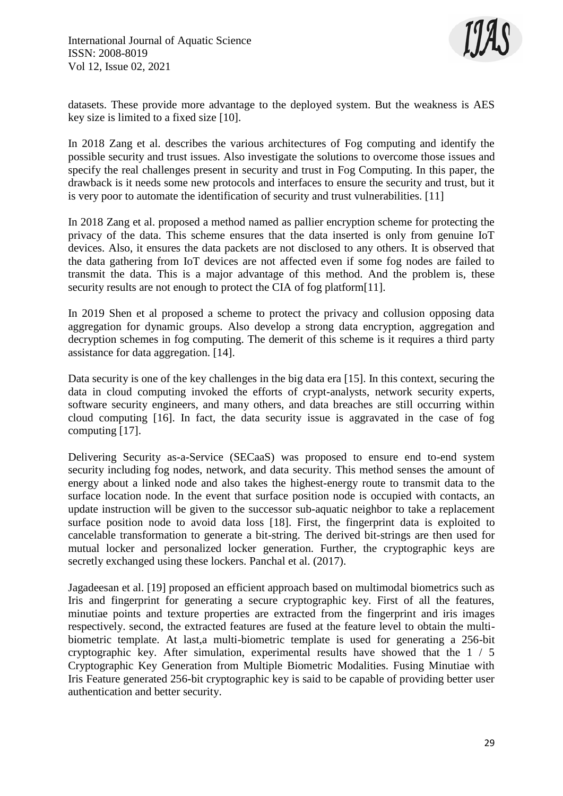

datasets. These provide more advantage to the deployed system. But the weakness is AES key size is limited to a fixed size [10].

In 2018 Zang et al. describes the various architectures of Fog computing and identify the possible security and trust issues. Also investigate the solutions to overcome those issues and specify the real challenges present in security and trust in Fog Computing. In this paper, the drawback is it needs some new protocols and interfaces to ensure the security and trust, but it is very poor to automate the identification of security and trust vulnerabilities. [11]

In 2018 Zang et al. proposed a method named as pallier encryption scheme for protecting the privacy of the data. This scheme ensures that the data inserted is only from genuine IoT devices. Also, it ensures the data packets are not disclosed to any others. It is observed that the data gathering from IoT devices are not affected even if some fog nodes are failed to transmit the data. This is a major advantage of this method. And the problem is, these security results are not enough to protect the CIA of fog platform[11].

In 2019 Shen et al proposed a scheme to protect the privacy and collusion opposing data aggregation for dynamic groups. Also develop a strong data encryption, aggregation and decryption schemes in fog computing. The demerit of this scheme is it requires a third party assistance for data aggregation. [14].

Data security is one of the key challenges in the big data era [15]. In this context, securing the data in cloud computing invoked the efforts of crypt-analysts, network security experts, software security engineers, and many others, and data breaches are still occurring within cloud computing [16]. In fact, the data security issue is aggravated in the case of fog computing [17].

Delivering Security as-a-Service (SECaaS) was proposed to ensure end to-end system security including fog nodes, network, and data security. This method senses the amount of energy about a linked node and also takes the highest-energy route to transmit data to the surface location node. In the event that surface position node is occupied with contacts, an update instruction will be given to the successor sub-aquatic neighbor to take a replacement surface position node to avoid data loss [18]. First, the fingerprint data is exploited to cancelable transformation to generate a bit-string. The derived bit-strings are then used for mutual locker and personalized locker generation. Further, the cryptographic keys are secretly exchanged using these lockers. Panchal et al. (2017).

Jagadeesan et al. [19] proposed an efficient approach based on multimodal biometrics such as Iris and fingerprint for generating a secure cryptographic key. First of all the features, minutiae points and texture properties are extracted from the fingerprint and iris images respectively. second, the extracted features are fused at the feature level to obtain the multibiometric template. At last,a multi-biometric template is used for generating a 256-bit cryptographic key. After simulation, experimental results have showed that the 1 / 5 Cryptographic Key Generation from Multiple Biometric Modalities. Fusing Minutiae with Iris Feature generated 256-bit cryptographic key is said to be capable of providing better user authentication and better security.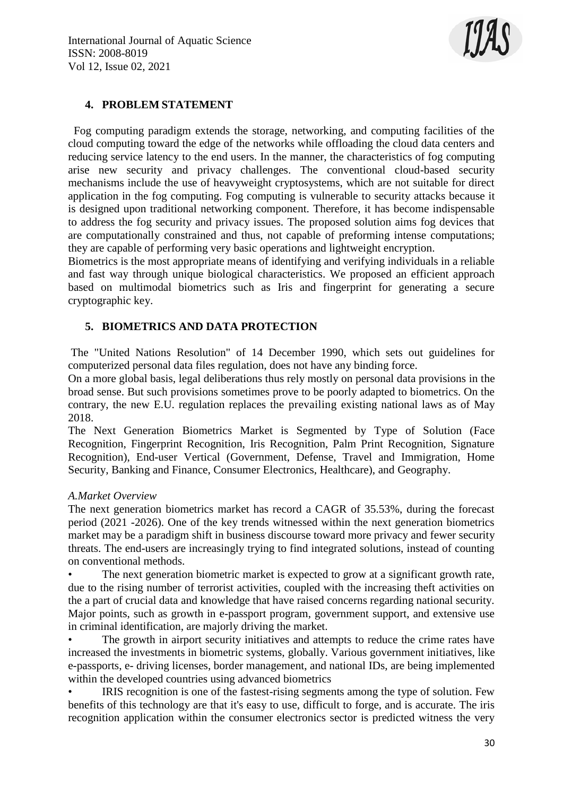

# **4. PROBLEM STATEMENT**

Fog computing paradigm extends the storage, networking, and computing facilities of the cloud computing toward the edge of the networks while offloading the cloud data centers and reducing service latency to the end users. In the manner, the characteristics of fog computing arise new security and privacy challenges. The conventional cloud-based security mechanisms include the use of heavyweight cryptosystems, which are not suitable for direct application in the fog computing. Fog computing is vulnerable to security attacks because it is designed upon traditional networking component. Therefore, it has become indispensable to address the fog security and privacy issues. The proposed solution aims fog devices that are computationally constrained and thus, not capable of preforming intense computations; they are capable of performing very basic operations and lightweight encryption.

Biometrics is the most appropriate means of identifying and verifying individuals in a reliable and fast way through unique biological characteristics. We proposed an efficient approach based on multimodal biometrics such as Iris and fingerprint for generating a secure cryptographic key.

# **5. BIOMETRICS AND DATA PROTECTION**

The "United Nations Resolution" of 14 December 1990, which sets out guidelines for computerized personal data files regulation, does not have any binding force.

On a more global basis, legal deliberations thus rely mostly on personal data provisions in the broad sense. But such provisions sometimes prove to be poorly adapted to biometrics. On the contrary, the new E.U. regulation replaces the prevailing existing national laws as of May 2018.

The Next Generation Biometrics Market is Segmented by Type of Solution (Face Recognition, Fingerprint Recognition, Iris Recognition, Palm Print Recognition, Signature Recognition), End-user Vertical (Government, Defense, Travel and Immigration, Home Security, Banking and Finance, Consumer Electronics, Healthcare), and Geography.

#### *A.Market Overview*

The next generation biometrics market has record a CAGR of 35.53%, during the forecast period (2021 -2026). One of the key trends witnessed within the next generation biometrics market may be a paradigm shift in business discourse toward more privacy and fewer security threats. The end-users are increasingly trying to find integrated solutions, instead of counting on conventional methods.

The next generation biometric market is expected to grow at a significant growth rate, due to the rising number of terrorist activities, coupled with the increasing theft activities on the a part of crucial data and knowledge that have raised concerns regarding national security. Major points, such as growth in e-passport program, government support, and extensive use in criminal identification, are majorly driving the market.

The growth in airport security initiatives and attempts to reduce the crime rates have increased the investments in biometric systems, globally. Various government initiatives, like e-passports, e- driving licenses, border management, and national IDs, are being implemented within the developed countries using advanced biometrics

IRIS recognition is one of the fastest-rising segments among the type of solution. Few benefits of this technology are that it's easy to use, difficult to forge, and is accurate. The iris recognition application within the consumer electronics sector is predicted witness the very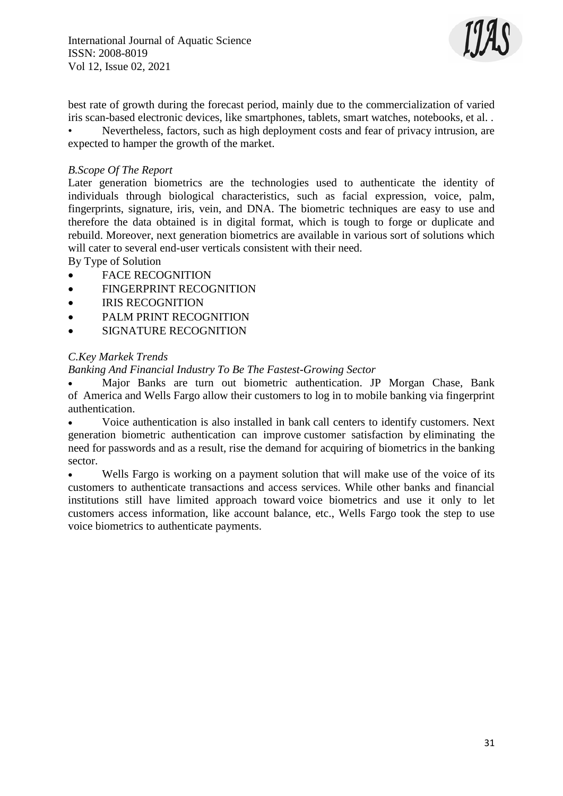International Journal of Aquatic Science ISSN: 2008-8019 Vol 12, Issue 02, 2021



best rate of growth during the forecast period, mainly due to the commercialization of varied iris scan-based electronic devices, like smartphones, tablets, smart watches, notebooks, et al. .

• Nevertheless, factors, such as high deployment costs and fear of privacy intrusion, are expected to hamper the growth of the market.

#### *B.Scope Of The Report*

Later generation biometrics are the technologies used to authenticate the identity of individuals through biological characteristics, such as facial expression, voice, palm, fingerprints, signature, iris, vein, and DNA. The biometric techniques are easy to use and therefore the data obtained is in digital format, which is tough to forge or duplicate and rebuild. Moreover, next generation biometrics are available in various sort of solutions which will cater to several end-user verticals consistent with their need.

By Type of Solution

- **•** FACE RECOGNITION
- **•** FINGERPRINT RECOGNITION
- IRIS RECOGNITION
- PALM PRINT RECOGNITION
- **•** SIGNATURE RECOGNITION

#### *C.Key Markek Trends*

#### *Banking And Financial Industry To Be The Fastest-Growing Sector*

 Major Banks are turn out biometric authentication. JP Morgan Chase, Bank of America and Wells Fargo allow their customers to log in to mobile banking via fingerprint authentication.

 Voice authentication is also installed in bank call centers to identify customers. Next generation biometric authentication can improve customer satisfaction by eliminating the need for passwords and as a result, rise the demand for acquiring of biometrics in the banking sector.

 Wells Fargo is working on a payment solution that will make use of the voice of its customers to authenticate transactions and access services. While other banks and financial institutions still have limited approach toward voice biometrics and use it only to let customers access information, like account balance, etc., Wells Fargo took the step to use voice biometrics to authenticate payments.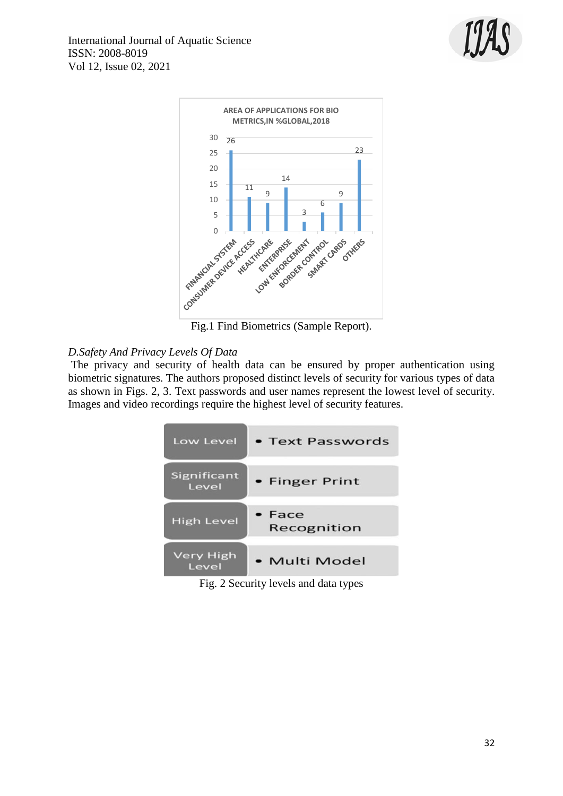



Fig.1 Find Biometrics (Sample Report).

# *D.Safety And Privacy Levels Of Data*

The privacy and security of health data can be ensured by proper authentication using biometric signatures. The authors proposed distinct levels of security for various types of data as shown in Figs. 2, 3. Text passwords and user names represent the lowest level of security. Images and video recordings require the highest level of security features.

| Low Level                 | • Text Passwords        |
|---------------------------|-------------------------|
| Significant<br>Level      | • Finger Print          |
| <b>High Level</b>         | $•$ Face<br>Recognition |
| <b>Very High</b><br>Level | • Multi Model           |

Fig. 2 Security levels and data types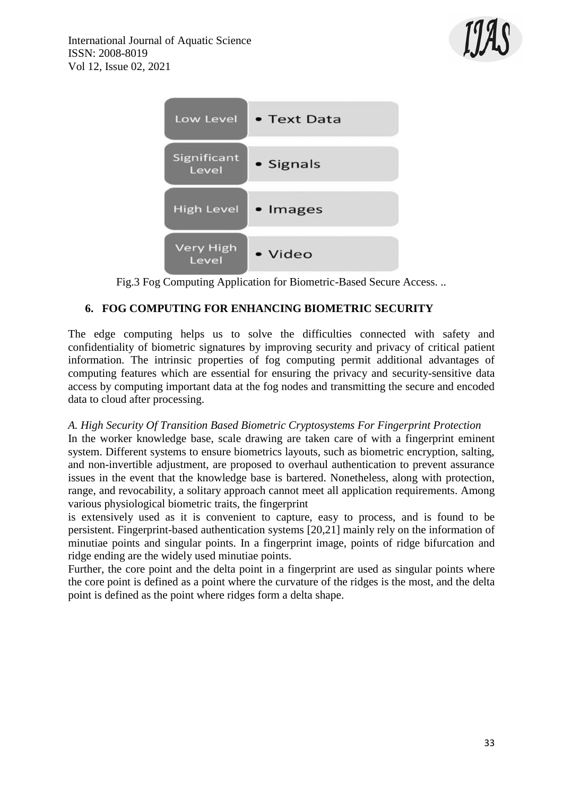



Fig.3 Fog Computing Application for Biometric-Based Secure Access. ..

# **6. FOG COMPUTING FOR ENHANCING BIOMETRIC SECURITY**

The edge computing helps us to solve the difficulties connected with safety and confidentiality of biometric signatures by improving security and privacy of critical patient information. The intrinsic properties of fog computing permit additional advantages of computing features which are essential for ensuring the privacy and security-sensitive data access by computing important data at the fog nodes and transmitting the secure and encoded data to cloud after processing.

# *A. High Security Of Transition Based Biometric Cryptosystems For Fingerprint Protection*

In the worker knowledge base, scale drawing are taken care of with a fingerprint eminent system. Different systems to ensure biometrics layouts, such as biometric encryption, salting, and non-invertible adjustment, are proposed to overhaul authentication to prevent assurance issues in the event that the knowledge base is bartered. Nonetheless, along with protection, range, and revocability, a solitary approach cannot meet all application requirements. Among various physiological biometric traits, the fingerprint

is extensively used as it is convenient to capture, easy to process, and is found to be persistent. Fingerprint-based authentication systems [20,21] mainly rely on the information of minutiae points and singular points. In a fingerprint image, points of ridge bifurcation and ridge ending are the widely used minutiae points.

Further, the core point and the delta point in a fingerprint are used as singular points where the core point is defined as a point where the curvature of the ridges is the most, and the delta point is defined as the point where ridges form a delta shape.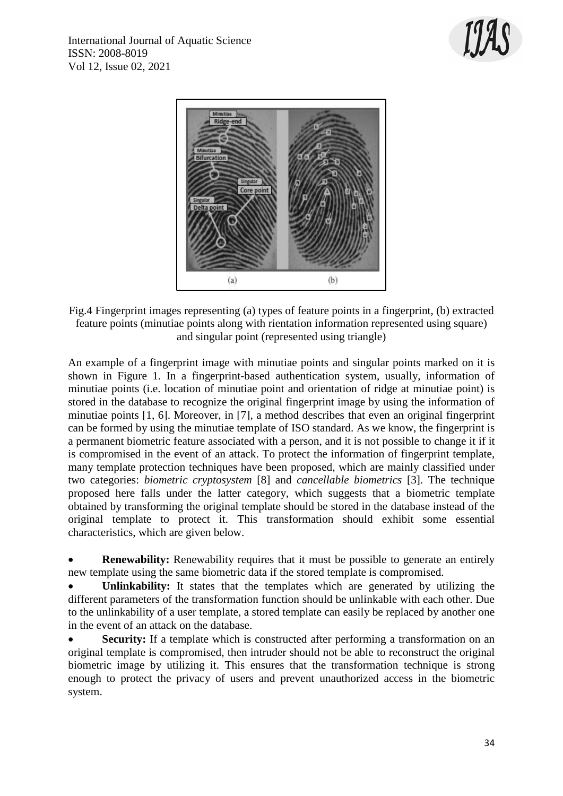



Fig.4 Fingerprint images representing (a) types of feature points in a fingerprint, (b) extracted feature points (minutiae points along with rientation information represented using square) and singular point (represented using triangle)

An example of a fingerprint image with minutiae points and singular points marked on it is shown in Figure 1. In a fingerprint-based authentication system, usually, information of minutiae points (i.e. location of minutiae point and orientation of ridge at minutiae point) is stored in the database to recognize the original fingerprint image by using the information of minutiae points [1, 6]. Moreover, in [7], a method describes that even an original fingerprint can be formed by using the minutiae template of ISO standard. As we know, the fingerprint is a permanent biometric feature associated with a person, and it is not possible to change it if it is compromised in the event of an attack. To protect the information of fingerprint template, many template protection techniques have been proposed, which are mainly classified under two categories: *biometric cryptosystem* [8] and *cancellable biometrics* [3]. The technique proposed here falls under the latter category, which suggests that a biometric template obtained by transforming the original template should be stored in the database instead of the original template to protect it. This transformation should exhibit some essential characteristics, which are given below.

• **Renewability:** Renewability requires that it must be possible to generate an entirely new template using the same biometric data if the stored template is compromised.

 **Unlinkability:** It states that the templates which are generated by utilizing the different parameters of the transformation function should be unlinkable with each other. Due to the unlinkability of a user template, a stored template can easily be replaced by another one in the event of an attack on the database.

**Security:** If a template which is constructed after performing a transformation on an original template is compromised, then intruder should not be able to reconstruct the original biometric image by utilizing it. This ensures that the transformation technique is strong enough to protect the privacy of users and prevent unauthorized access in the biometric system.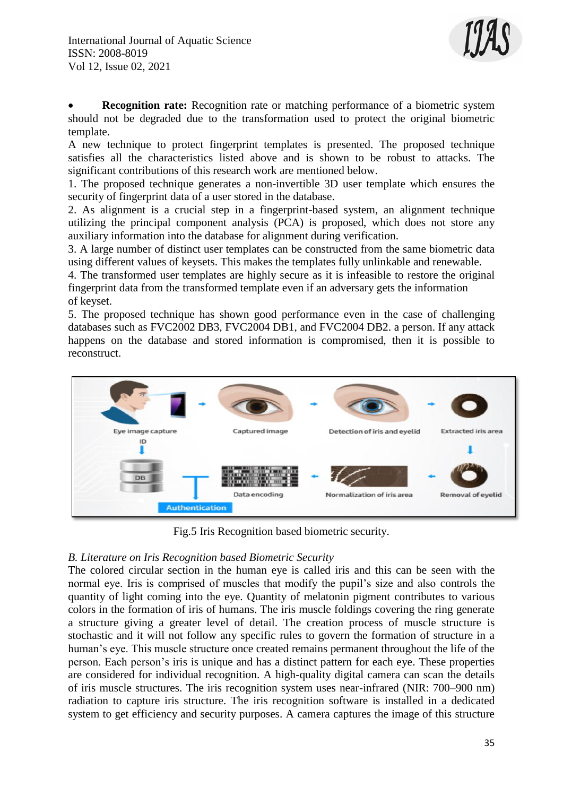

 **Recognition rate:** Recognition rate or matching performance of a biometric system should not be degraded due to the transformation used to protect the original biometric template.

A new technique to protect fingerprint templates is presented. The proposed technique satisfies all the characteristics listed above and is shown to be robust to attacks. The significant contributions of this research work are mentioned below.

1. The proposed technique generates a non-invertible 3D user template which ensures the security of fingerprint data of a user stored in the database.

2. As alignment is a crucial step in a fingerprint-based system, an alignment technique utilizing the principal component analysis (PCA) is proposed, which does not store any auxiliary information into the database for alignment during verification.

3. A large number of distinct user templates can be constructed from the same biometric data using different values of keysets. This makes the templates fully unlinkable and renewable.

4. The transformed user templates are highly secure as it is infeasible to restore the original fingerprint data from the transformed template even if an adversary gets the information of keyset.

5. The proposed technique has shown good performance even in the case of challenging databases such as FVC2002 DB3, FVC2004 DB1, and FVC2004 DB2. a person. If any attack happens on the database and stored information is compromised, then it is possible to reconstruct.



Fig.5 Iris Recognition based biometric security.

# *B. Literature on Iris Recognition based Biometric Security*

The colored circular section in the human eye is called iris and this can be seen with the normal eye. Iris is comprised of muscles that modify the pupil's size and also controls the quantity of light coming into the eye. Quantity of melatonin pigment contributes to various colors in the formation of iris of humans. The iris muscle foldings covering the ring generate a structure giving a greater level of detail. The creation process of muscle structure is stochastic and it will not follow any specific rules to govern the formation of structure in a human's eye. This muscle structure once created remains permanent throughout the life of the person. Each person's iris is unique and has a distinct pattern for each eye. These properties are considered for individual recognition. A high-quality digital camera can scan the details of iris muscle structures. The iris recognition system uses near-infrared (NIR: 700–900 nm) radiation to capture iris structure. The iris recognition software is installed in a dedicated system to get efficiency and security purposes. A camera captures the image of this structure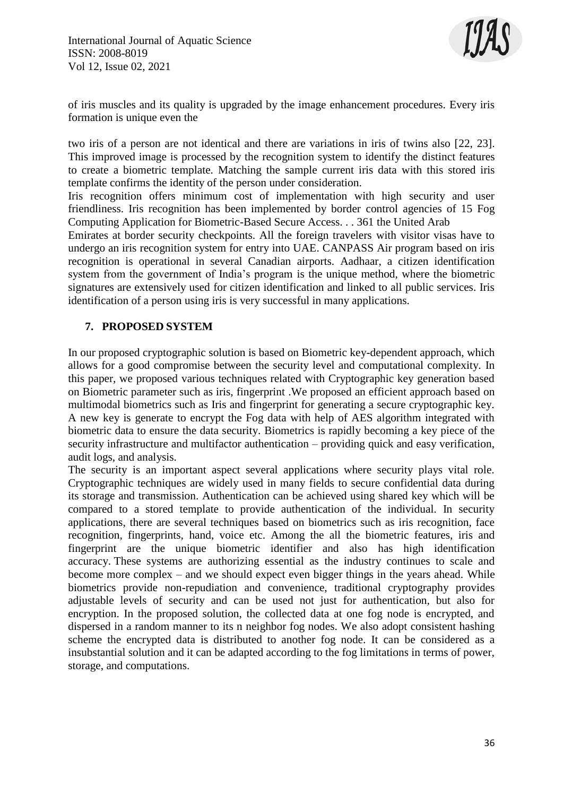

of iris muscles and its quality is upgraded by the image enhancement procedures. Every iris formation is unique even the

two iris of a person are not identical and there are variations in iris of twins also [22, 23]. This improved image is processed by the recognition system to identify the distinct features to create a biometric template. Matching the sample current iris data with this stored iris template confirms the identity of the person under consideration.

Iris recognition offers minimum cost of implementation with high security and user friendliness. Iris recognition has been implemented by border control agencies of 15 Fog Computing Application for Biometric-Based Secure Access. . . 361 the United Arab

Emirates at border security checkpoints. All the foreign travelers with visitor visas have to undergo an iris recognition system for entry into UAE. CANPASS Air program based on iris recognition is operational in several Canadian airports. Aadhaar, a citizen identification system from the government of India's program is the unique method, where the biometric signatures are extensively used for citizen identification and linked to all public services. Iris identification of a person using iris is very successful in many applications.

# **7. PROPOSED SYSTEM**

In our proposed cryptographic solution is based on Biometric key-dependent approach, which allows for a good compromise between the security level and computational complexity. In this paper, we proposed various techniques related with Cryptographic key generation based on Biometric parameter such as iris, fingerprint .We proposed an efficient approach based on multimodal biometrics such as Iris and fingerprint for generating a secure cryptographic key. A new key is generate to encrypt the Fog data with help of AES algorithm integrated with biometric data to ensure the data security. Biometrics is rapidly becoming a key piece of the security infrastructure and multifactor authentication – providing quick and easy verification, audit logs, and analysis.

The security is an important aspect several applications where security plays vital role. Cryptographic techniques are widely used in many fields to secure confidential data during its storage and transmission. Authentication can be achieved using shared key which will be compared to a stored template to provide authentication of the individual. In security applications, there are several techniques based on biometrics such as iris recognition, face recognition, fingerprints, hand, voice etc. Among the all the biometric features, iris and fingerprint are the unique biometric identifier and also has high identification accuracy. These systems are authorizing essential as the industry continues to scale and become more complex – and we should expect even bigger things in the years ahead. While biometrics provide non-repudiation and convenience, traditional cryptography provides adjustable levels of security and can be used not just for authentication, but also for encryption. In the proposed solution, the collected data at one fog node is encrypted, and dispersed in a random manner to its n neighbor fog nodes. We also adopt consistent hashing scheme the encrypted data is distributed to another fog node. It can be considered as a insubstantial solution and it can be adapted according to the fog limitations in terms of power, storage, and computations.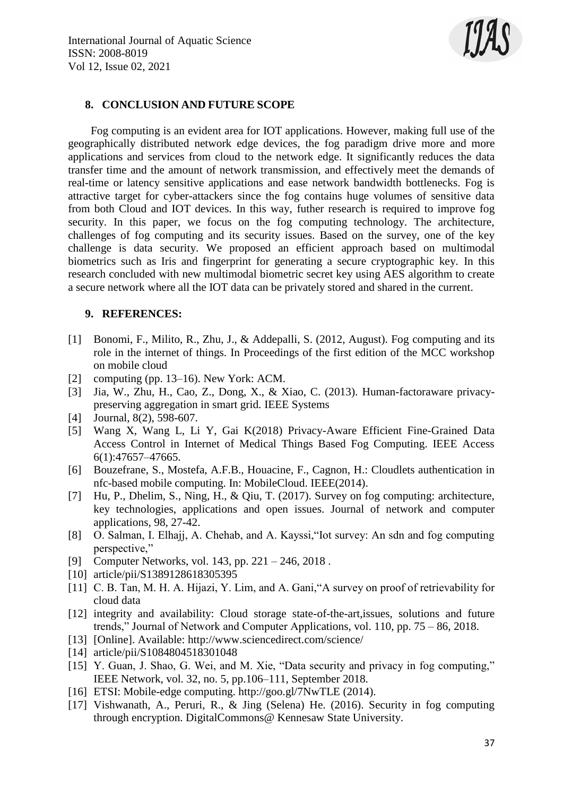

### **8. CONCLUSION AND FUTURE SCOPE**

 Fog computing is an evident area for IOT applications. However, making full use of the geographically distributed network edge devices, the fog paradigm drive more and more applications and services from cloud to the network edge. It significantly reduces the data transfer time and the amount of network transmission, and effectively meet the demands of real-time or latency sensitive applications and ease network bandwidth bottlenecks. Fog is attractive target for cyber-attackers since the fog contains huge volumes of sensitive data from both Cloud and IOT devices. In this way, futher research is required to improve fog security. In this paper, we focus on the fog computing technology. The architecture, challenges of fog computing and its security issues. Based on the survey, one of the key challenge is data security. We proposed an efficient approach based on multimodal biometrics such as Iris and fingerprint for generating a secure cryptographic key. In this research concluded with new multimodal biometric secret key using AES algorithm to create a secure network where all the IOT data can be privately stored and shared in the current.

#### **9. REFERENCES:**

- [1] Bonomi, F., Milito, R., Zhu, J., & Addepalli, S. (2012, August). Fog computing and its role in the internet of things. In Proceedings of the first edition of the MCC workshop on mobile cloud
- [2] computing (pp. 13–16). New York: ACM.
- [3] Jia, W., Zhu, H., Cao, Z., Dong, X., & Xiao, C. (2013). Human-factoraware privacypreserving aggregation in smart grid. IEEE Systems
- [4] Journal, 8(2), 598-607.
- [5] Wang X, Wang L, Li Y, Gai K(2018) Privacy-Aware Efficient Fine-Grained Data Access Control in Internet of Medical Things Based Fog Computing. IEEE Access 6(1):47657–47665.
- [6] Bouzefrane, S., Mostefa, A.F.B., Houacine, F., Cagnon, H.: Cloudlets authentication in nfc-based mobile computing. In: MobileCloud. IEEE(2014).
- [7] Hu, P., Dhelim, S., Ning, H., & Qiu, T. (2017). Survey on fog computing: architecture, key technologies, applications and open issues. Journal of network and computer applications, 98, 27-42.
- [8] O. Salman, I. Elhajj, A. Chehab, and A. Kayssi,"Iot survey: An sdn and fog computing perspective,"
- [9] Computer Networks, vol. 143, pp. 221 246, 2018 .
- [10] article/pii/S1389128618305395
- [11] C. B. Tan, M. H. A. Hijazi, Y. Lim, and A. Gani, "A survey on proof of retrievability for cloud data
- [12] integrity and availability: Cloud storage state-of-the-art,issues, solutions and future trends," Journal of Network and Computer Applications, vol. 110, pp. 75 – 86, 2018.
- [13] [Online]. Available: http://www.sciencedirect.com/science/
- [14] article/pii/S1084804518301048
- [15] Y. Guan, J. Shao, G. Wei, and M. Xie, "Data security and privacy in fog computing," IEEE Network, vol. 32, no. 5, pp.106–111, September 2018.
- [16] ETSI: Mobile-edge computing. http://goo.gl/7NwTLE (2014).
- [17] Vishwanath, A., Peruri, R., & Jing (Selena) He. (2016). Security in fog computing through encryption. DigitalCommons@ Kennesaw State University.